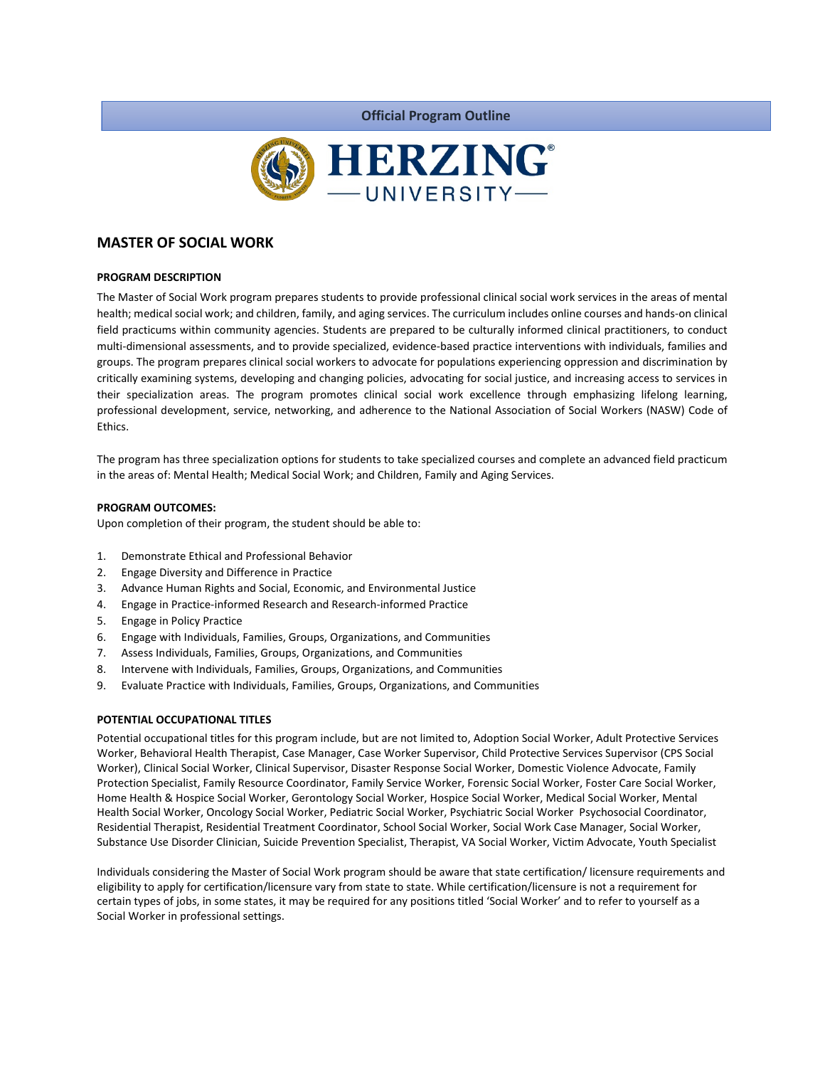

**Official Program Outline**

# **MASTER OF SOCIAL WORK**

### **PROGRAM DESCRIPTION**

The Master of Social Work program prepares students to provide professional clinical social work services in the areas of mental health; medical social work; and children, family, and aging services. The curriculum includes online courses and hands-on clinical field practicums within community agencies. Students are prepared to be culturally informed clinical practitioners, to conduct multi-dimensional assessments, and to provide specialized, evidence-based practice interventions with individuals, families and groups. The program prepares clinical social workers to advocate for populations experiencing oppression and discrimination by critically examining systems, developing and changing policies, advocating for social justice, and increasing access to services in their specialization areas. The program promotes clinical social work excellence through emphasizing lifelong learning, professional development, service, networking, and adherence to the National Association of Social Workers (NASW) Code of Ethics.

The program has three specialization options for students to take specialized courses and complete an advanced field practicum in the areas of: Mental Health; Medical Social Work; and Children, Family and Aging Services.

#### **PROGRAM OUTCOMES:**

Upon completion of their program, the student should be able to:

- 1. Demonstrate Ethical and Professional Behavior
- 2. Engage Diversity and Difference in Practice
- 3. Advance Human Rights and Social, Economic, and Environmental Justice
- 4. Engage in Practice-informed Research and Research-informed Practice
- 5. Engage in Policy Practice
- 6. Engage with Individuals, Families, Groups, Organizations, and Communities
- 7. Assess Individuals, Families, Groups, Organizations, and Communities
- 8. Intervene with Individuals, Families, Groups, Organizations, and Communities
- 9. Evaluate Practice with Individuals, Families, Groups, Organizations, and Communities

### **POTENTIAL OCCUPATIONAL TITLES**

Potential occupational titles for this program include, but are not limited to, Adoption Social Worker, Adult Protective Services Worker, Behavioral Health Therapist, Case Manager, Case Worker Supervisor, Child Protective Services Supervisor (CPS Social Worker), Clinical Social Worker, Clinical Supervisor, Disaster Response Social Worker, Domestic Violence Advocate, Family Protection Specialist, Family Resource Coordinator, Family Service Worker, Forensic Social Worker, Foster Care Social Worker, Home Health & Hospice Social Worker, Gerontology Social Worker, Hospice Social Worker, Medical Social Worker, Mental Health Social Worker, Oncology Social Worker, Pediatric Social Worker, Psychiatric Social Worker Psychosocial Coordinator, Residential Therapist, Residential Treatment Coordinator, School Social Worker, Social Work Case Manager, Social Worker, Substance Use Disorder Clinician, Suicide Prevention Specialist, Therapist, VA Social Worker, Victim Advocate, Youth Specialist

Individuals considering the Master of Social Work program should be aware that state certification/ licensure requirements and eligibility to apply for certification/licensure vary from state to state. While certification/licensure is not a requirement for certain types of jobs, in some states, it may be required for any positions titled 'Social Worker' and to refer to yourself as a Social Worker in professional settings.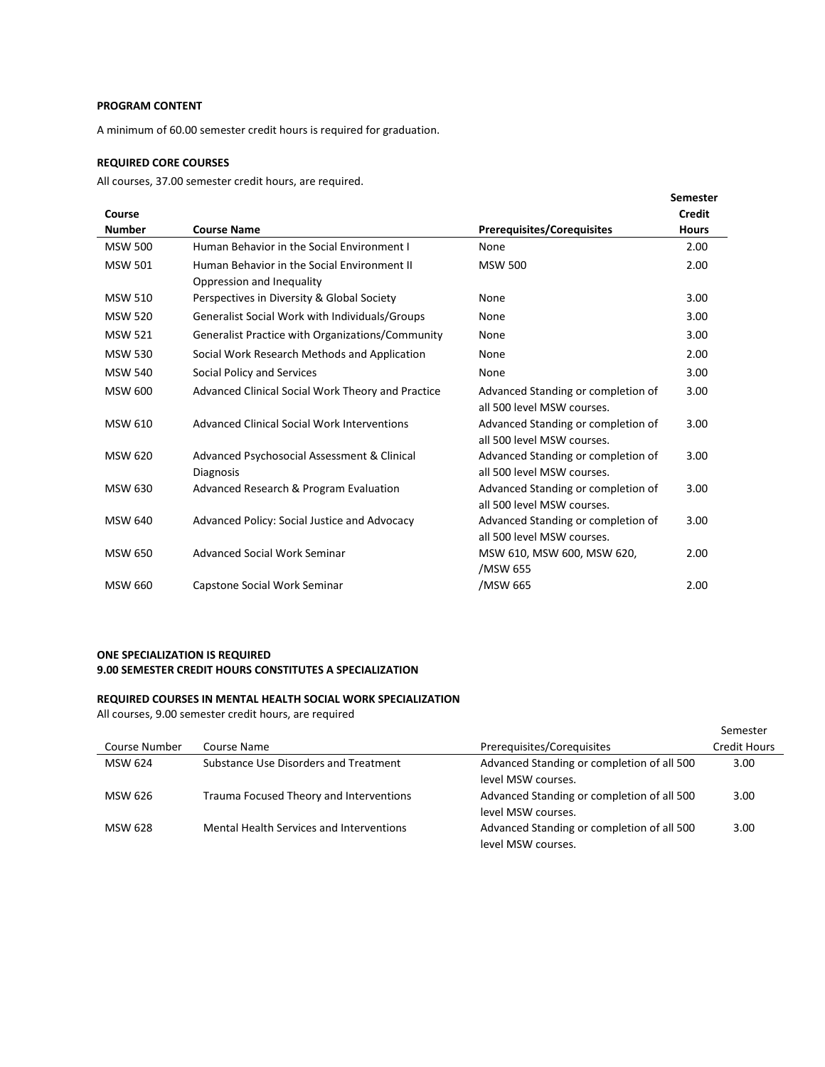### **PROGRAM CONTENT**

A minimum of 60.00 semester credit hours is required for graduation.

# **REQUIRED CORE COURSES**

All courses, 37.00 semester credit hours, are required.

|                |                                                   |                                    | <b>Semester</b> |
|----------------|---------------------------------------------------|------------------------------------|-----------------|
| Course         |                                                   |                                    | <b>Credit</b>   |
| <b>Number</b>  | <b>Course Name</b>                                | <b>Prerequisites/Corequisites</b>  | <b>Hours</b>    |
| <b>MSW 500</b> | Human Behavior in the Social Environment I        | None                               | 2.00            |
| <b>MSW 501</b> | Human Behavior in the Social Environment II       | <b>MSW 500</b>                     | 2.00            |
|                | Oppression and Inequality                         |                                    |                 |
| <b>MSW 510</b> | Perspectives in Diversity & Global Society        | None                               | 3.00            |
| <b>MSW 520</b> | Generalist Social Work with Individuals/Groups    | None                               | 3.00            |
| <b>MSW 521</b> | Generalist Practice with Organizations/Community  | None                               | 3.00            |
| <b>MSW 530</b> | Social Work Research Methods and Application      | None                               | 2.00            |
| <b>MSW 540</b> | Social Policy and Services                        | None                               | 3.00            |
| <b>MSW 600</b> | Advanced Clinical Social Work Theory and Practice | Advanced Standing or completion of | 3.00            |
|                |                                                   | all 500 level MSW courses.         |                 |
| <b>MSW 610</b> | Advanced Clinical Social Work Interventions       | Advanced Standing or completion of | 3.00            |
|                |                                                   | all 500 level MSW courses.         |                 |
| <b>MSW 620</b> | Advanced Psychosocial Assessment & Clinical       | Advanced Standing or completion of | 3.00            |
|                | <b>Diagnosis</b>                                  | all 500 level MSW courses.         |                 |
| <b>MSW 630</b> | Advanced Research & Program Evaluation            | Advanced Standing or completion of | 3.00            |
|                |                                                   | all 500 level MSW courses.         |                 |
| <b>MSW 640</b> | Advanced Policy: Social Justice and Advocacy      | Advanced Standing or completion of | 3.00            |
|                |                                                   | all 500 level MSW courses.         |                 |
| <b>MSW 650</b> | Advanced Social Work Seminar                      | MSW 610, MSW 600, MSW 620,         | 2.00            |
|                |                                                   | /MSW 655                           |                 |
| <b>MSW 660</b> | Capstone Social Work Seminar                      | /MSW 665                           | 2.00            |

## **ONE SPECIALIZATION IS REQUIRED 9.00 SEMESTER CREDIT HOURS CONSTITUTES A SPECIALIZATION**

#### **REQUIRED COURSES IN MENTAL HEALTH SOCIAL WORK SPECIALIZATION**

All courses, 9.00 semester credit hours, are required

|                |                                                 |                                            | Semester            |
|----------------|-------------------------------------------------|--------------------------------------------|---------------------|
| Course Number  | Course Name                                     | Prerequisites/Corequisites                 | <b>Credit Hours</b> |
| <b>MSW 624</b> | Substance Use Disorders and Treatment           | Advanced Standing or completion of all 500 | 3.00                |
|                |                                                 | level MSW courses.                         |                     |
| MSW 626        | Trauma Focused Theory and Interventions         | Advanced Standing or completion of all 500 | 3.00                |
|                |                                                 | level MSW courses.                         |                     |
| <b>MSW 628</b> | <b>Mental Health Services and Interventions</b> | Advanced Standing or completion of all 500 | 3.00                |
|                |                                                 | level MSW courses.                         |                     |